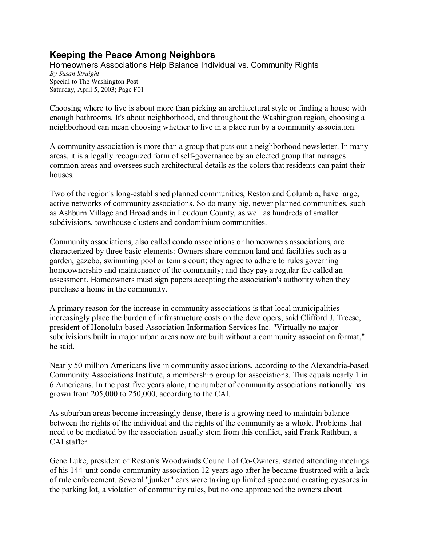## **Keeping the Peace Among Neighbors**

Homeowners Associations Help Balance Individual vs. Community Rights *By Susan Straight* Special to The Washington Post Saturday, April 5, 2003; Page F01

Choosing where to live is about more than picking an architectural style or finding a house with enough bathrooms. It's about neighborhood, and throughout the Washington region, choosing a neighborhood can mean choosing whether to live in a place run by a community association.

A community association is more than a group that puts out a neighborhood newsletter. In many areas, it is a legally recognized form of self-governance by an elected group that manages common areas and oversees such architectural details as the colors that residents can paint their houses.

Two of the region's long-established planned communities, Reston and Columbia, have large, active networks of community associations. So do many big, newer planned communities, such as Ashburn Village and Broadlands in Loudoun County, as well as hundreds of smaller subdivisions, townhouse clusters and condominium communities.

Community associations, also called condo associations or homeowners associations, are characterized by three basic elements: Owners share common land and facilities such as a garden, gazebo, swimming pool or tennis court; they agree to adhere to rules governing homeownership and maintenance of the community; and they pay a regular fee called an assessment. Homeowners must sign papers accepting the association's authority when they purchase a home in the community.

A primary reason for the increase in community associations is that local municipalities increasingly place the burden of infrastructure costs on the developers, said Clifford J. Treese, president of Honolulu-based Association Information Services Inc. "Virtually no major subdivisions built in major urban areas now are built without a community association format," he said.

Nearly 50 million Americans live in community associations, according to the Alexandria-based Community Associations Institute, a membership group for associations. This equals nearly 1 in 6 Americans. In the past five years alone, the number of community associations nationally has grown from 205,000 to 250,000, according to the CAI.

As suburban areas become increasingly dense, there is a growing need to maintain balance between the rights of the individual and the rights of the community as a whole. Problems that need to be mediated by the association usually stem from this conflict, said Frank Rathbun, a CAI staffer.

Gene Luke, president of Reston's Woodwinds Council of Co-Owners, started attending meetings of his 144-unit condo community association 12 years ago after he became frustrated with a lack of rule enforcement. Several "junker" cars were taking up limited space and creating eyesores in the parking lot, a violation of community rules, but no one approached the owners about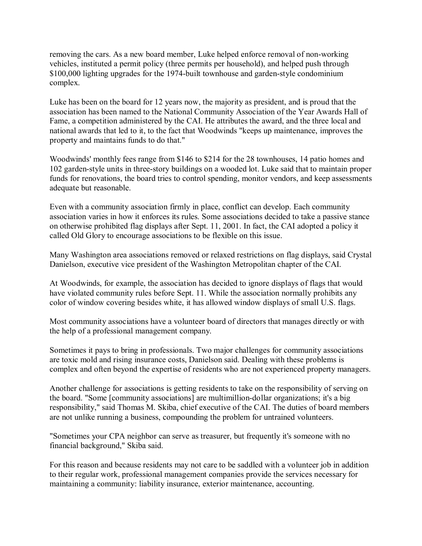removing the cars. As a new board member, Luke helped enforce removal of non-working vehicles, instituted a permit policy (three permits per household), and helped push through \$100,000 lighting upgrades for the 1974-built townhouse and garden-style condominium complex.

Luke has been on the board for 12 years now, the majority as president, and is proud that the association has been named to the National Community Association of the Year Awards Hall of Fame, a competition administered by the CAI. He attributes the award, and the three local and national awards that led to it, to the fact that Woodwinds "keeps up maintenance, improves the property and maintains funds to do that."

Woodwinds' monthly fees range from \$146 to \$214 for the 28 townhouses, 14 patio homes and 102 garden-style units in three-story buildings on a wooded lot. Luke said that to maintain proper funds for renovations, the board tries to control spending, monitor vendors, and keep assessments adequate but reasonable.

Even with a community association firmly in place, conflict can develop. Each community association varies in how it enforces its rules. Some associations decided to take a passive stance on otherwise prohibited flag displays after Sept. 11, 2001. In fact, the CAI adopted a policy it called Old Glory to encourage associations to be flexible on this issue.

Many Washington area associations removed or relaxed restrictions on flag displays, said Crystal Danielson, executive vice president of the Washington Metropolitan chapter of the CAI.

At Woodwinds, for example, the association has decided to ignore displays of flags that would have violated community rules before Sept. 11. While the association normally prohibits any color of window covering besides white, it has allowed window displays of small U.S. flags.

Most community associations have a volunteer board of directors that manages directly or with the help of a professional management company.

Sometimes it pays to bring in professionals. Two major challenges for community associations are toxic mold and rising insurance costs, Danielson said. Dealing with these problems is complex and often beyond the expertise of residents who are not experienced property managers.

Another challenge for associations is getting residents to take on the responsibility of serving on the board. "Some [community associations] are multimillion-dollar organizations; it's a big responsibility," said Thomas M. Skiba, chief executive of the CAI. The duties of board members are not unlike running a business, compounding the problem for untrained volunteers.

"Sometimes your CPA neighbor can serve as treasurer, but frequently it's someone with no financial background," Skiba said.

For this reason and because residents may not care to be saddled with a volunteer job in addition to their regular work, professional management companies provide the services necessary for maintaining a community: liability insurance, exterior maintenance, accounting.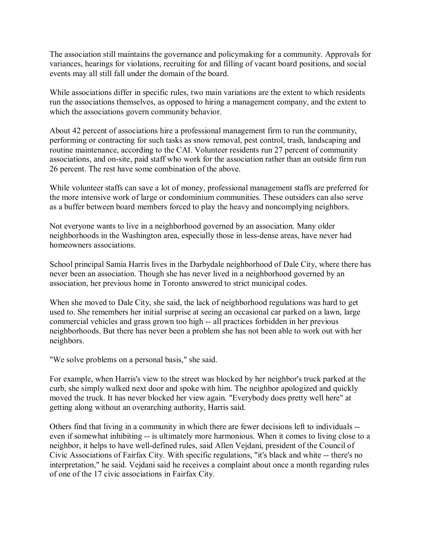The association still maintains the governance and policymaking for a community. Approvals for variances, hearings for violations, recruiting for and filling of vacant board positions, and social events may all still fall under the domain of the board.

While associations differ in specific rules, two main variations are the extent to which residents run the associations themselves, as opposed to hiring a management company, and the extent to which the associations govern community behavior.

About 42 percent of associations hire a professional management firm to run the community, performing or contracting for such tasks as snow removal, pest control, trash, landscaping and routine maintenance, according to the CAI. Volunteer residents run 27 percent of community associations, and on-site, paid staff who work for the association rather than an outside firm run 26 percent. The rest have some combination of the above.

While volunteer staffs can save a lot of money, professional management staffs are preferred for the more intensive work of large or condominium communities. These outsiders can also serve as a buffer between board members forced to play the heavy and noncomplying neighbors.

Not everyone wants to live in a neighborhood governed by an association. Many older neighborhoods in the Washington area, especially those in less-dense areas, have never had homeowners associations.

School principal Samia Harris lives in the Darbydale neighborhood of Dale City, where there has never been an association. Though she has never lived in a neighborhood governed by an association, her previous home in Toronto answered to strict municipal codes.

When she moved to Dale City, she said, the lack of neighborhood regulations was hard to get used to. She remembers her initial surprise at seeing an occasional car parked on a lawn, large commercial vehicles and grass grown too high -- all practices forbidden in her previous neighborhoods. But there has never been a problem she has not been able to work out with her neighbors.

"We solve problems on a personal basis," she said.

For example, when Harris's view to the street was blocked by her neighbor's truck parked at the curb, she simply walked next door and spoke with him. The neighbor apologized and quickly moved the truck. It has never blocked her view again. "Everybody does pretty well here" at getting along without an overarching authority, Harris said.

Others find that living in a community in which there are fewer decisions left to individuals - even if somewhat inhibiting -- is ultimately more harmonious. When it comes to living close to a neighbor, it helps to have well-defined rules, said Allen Vejdani, president of the Council of Civic Associations of Fairfax City. With specific regulations, "it's black and white -- there's no interpretation," he said. Vejdani said he receives a complaint about once a month regarding rules of one of the 17 civic associations in Fairfax City.